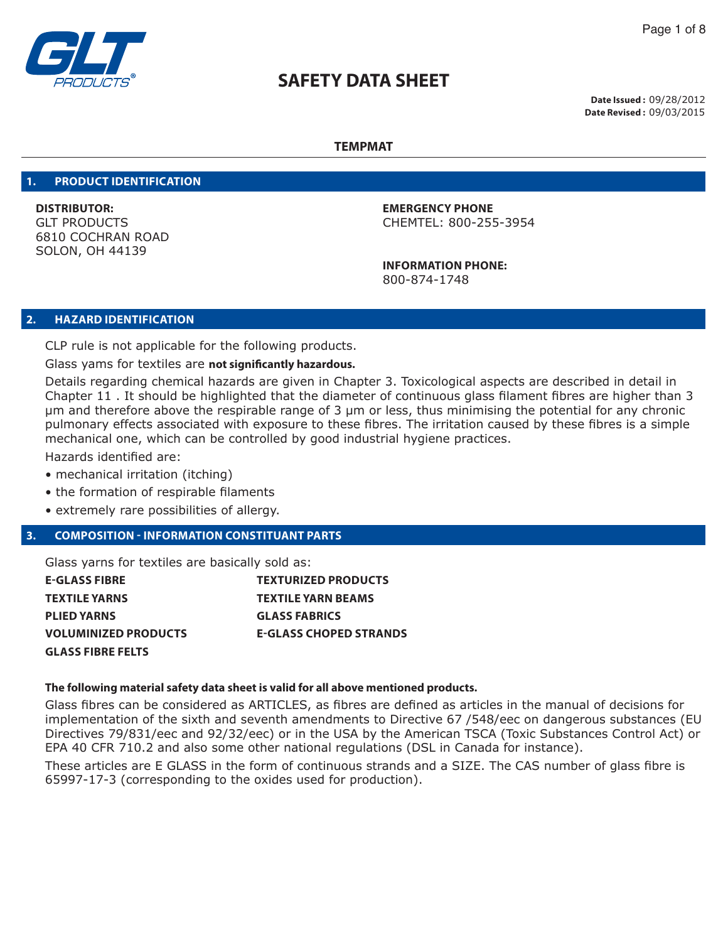

**Date Issued :** 09/28/2012 **Date Revised :** 09/03/2015

### **TEMPMAT**

#### **1. PRODUCT IDENTIFICATION**

**DISTRIBUTOR: EMERGENCY PHONE** 6810 COCHRAN ROAD SOLON, OH 44139

GLT PRODUCTS CHEMTEL: 800-255-3954

 **INFORMATION PHONE:** 800-874-1748

### **2. HAZARD IDENTIFICATION**

CLP rule is not applicable for the following products.

Glass yams for textiles are **not significantly hazardous.**

Details regarding chemical hazards are given in Chapter 3. Toxicological aspects are described in detail in Chapter 11 . It should be highlighted that the diameter of continuous glass filament fibres are higher than 3 μm and therefore above the respirable range of 3 μm or less, thus minimising the potential for any chronic pulmonary effects associated with exposure to these fibres. The irritation caused by these fibres is a simple mechanical one, which can be controlled by good industrial hygiene practices.

Hazards identified are:

- mechanical irritation (itching)
- the formation of respirable filaments
- extremely rare possibilities of allergy.

# **3. COMPOSITION - INFORMATION CONSTITUANT PARTS**

Glass yarns for textiles are basically sold as:

| E-GLASS FIBRE        | <b>TEXTURIZED PRODUCTS</b>    |
|----------------------|-------------------------------|
| TEXTILE YARNS        | <b>TEXTILE YARN BEAMS</b>     |
| PLIED YARNS          | <b>GLASS FABRICS</b>          |
| VOLUMINIZED PRODUCTS | <b>E-GLASS CHOPED STRANDS</b> |
| GLASS FIBRE FELTS    |                               |

# **The following material safety data sheet is valid for all above mentioned products.**

Glass fibres can be considered as ARTICLES, as fibres are defined as articles in the manual of decisions for implementation of the sixth and seventh amendments to Directive 67 /548/eec on dangerous substances (EU Directives 79/831/eec and 92/32/eec) or in the USA by the American TSCA (Toxic Substances Control Act) or EPA 40 CFR 710.2 and also some other national regulations (DSL in Canada for instance).

These articles are E GLASS in the form of continuous strands and a SIZE. The CAS number of glass fibre is 65997-17-3 (corresponding to the oxides used for production).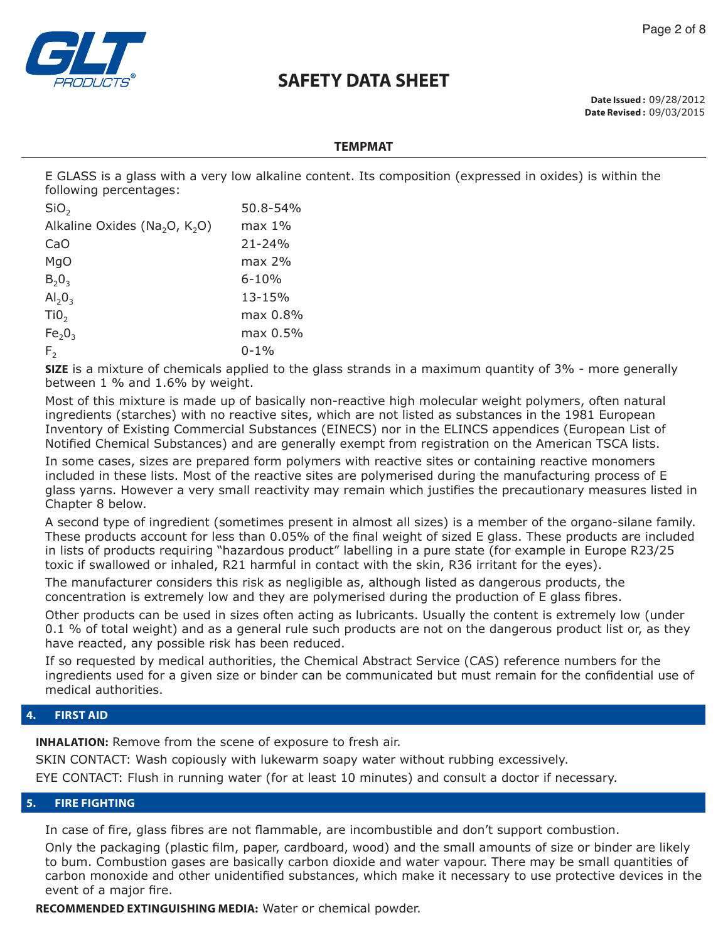

Page 2 of 8

**Date Issued :** 09/28/2012 **Date Revised :** 09/03/2015

### **TEMPMAT**

E GLASS is a glass with a very low alkaline content. Its composition (expressed in oxides) is within the following percentages:

| SiO <sub>2</sub>                                      | 50.8-54%   |
|-------------------------------------------------------|------------|
| Alkaline Oxides (Na <sub>2</sub> O, K <sub>2</sub> O) | max 1%     |
| CaO                                                   | $21 - 24%$ |
| MgO                                                   | $max 2\%$  |
| $B_{2}0_{3}$                                          | $6 - 10%$  |
| $Al_2O_3$                                             | 13-15%     |
| TiO <sub>2</sub>                                      | max 0.8%   |
| Fe <sub>2</sub> O <sub>3</sub>                        | max 0.5%   |
| F <sub>2</sub>                                        | $0 - 1\%$  |

**SIZE** is a mixture of chemicals applied to the glass strands in a maximum quantity of 3% - more generally between 1 % and 1.6% by weight.

Most of this mixture is made up of basically non-reactive high molecular weight polymers, often natural ingredients (starches) with no reactive sites, which are not listed as substances in the 1981 European Inventory of Existing Commercial Substances (EINECS) nor in the ELINCS appendices (European List of Notified Chemical Substances) and are generally exempt from registration on the American TSCA lists.

In some cases, sizes are prepared form polymers with reactive sites or containing reactive monomers included in these lists. Most of the reactive sites are polymerised during the manufacturing process of E glass yarns. However a very small reactivity may remain which justifies the precautionary measures listed in Chapter 8 below.

A second type of ingredient (sometimes present in almost all sizes) is a member of the organo-silane family. These products account for less than 0.05% of the final weight of sized E glass. These products are included in lists of products requiring "hazardous product" labelling in a pure state (for example in Europe R23/25 toxic if swallowed or inhaled, R21 harmful in contact with the skin, R36 irritant for the eyes).

The manufacturer considers this risk as negligible as, although listed as dangerous products, the concentration is extremely low and they are polymerised during the production of E glass fibres.

Other products can be used in sizes often acting as lubricants. Usually the content is extremely low (under 0.1 % of total weight) and as a general rule such products are not on the dangerous product list or, as they have reacted, any possible risk has been reduced.

If so requested by medical authorities, the Chemical Abstract Service (CAS) reference numbers for the ingredients used for a given size or binder can be communicated but must remain for the confidential use of medical authorities.

# **4. FIRST AID**

**INHALATION:** Remove from the scene of exposure to fresh air.

SKIN CONTACT: Wash copiously with lukewarm soapy water without rubbing excessively.

EYE CONTACT: Flush in running water (for at least 10 minutes) and consult a doctor if necessary.

# **5. FIRE FIGHTING**

In case of fire, glass fibres are not flammable, are incombustible and don't support combustion.

Only the packaging (plastic film, paper, cardboard, wood) and the small amounts of size or binder are likely to bum. Combustion gases are basically carbon dioxide and water vapour. There may be small quantities of carbon monoxide and other unidentified substances, which make it necessary to use protective devices in the event of a major fire.

**RECOMMENDED EXTINGUISHING MEDIA:** Water or chemical powder.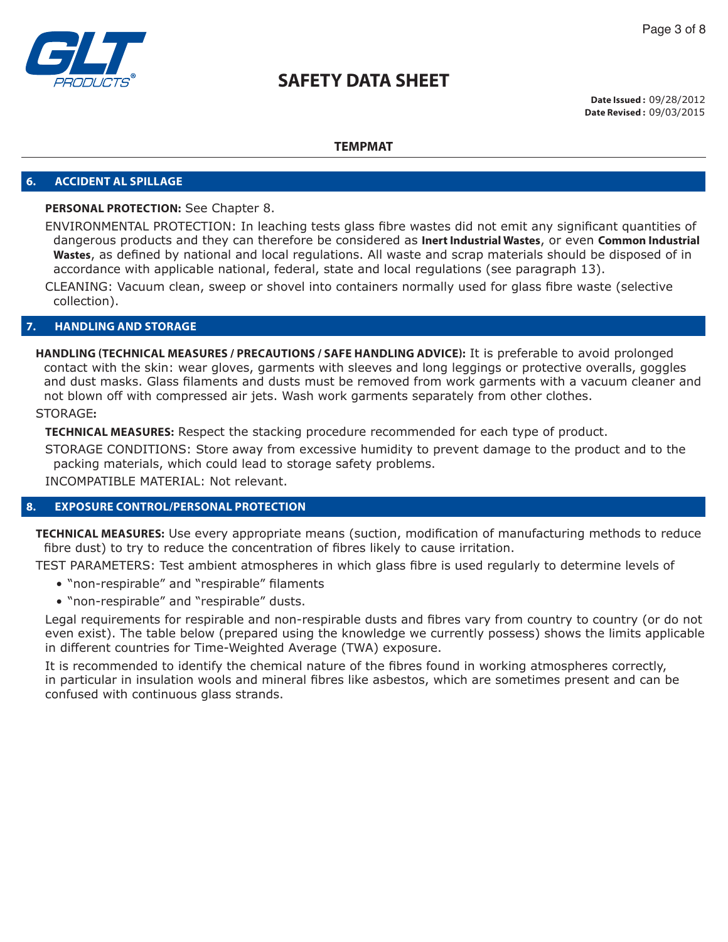

**Date Issued :** 09/28/2012 **Date Revised :** 09/03/2015

### **TEMPMAT**

#### **6. ACCIDENT AL SPILLAGE**

### **PERSONAL PROTECTION:** See Chapter 8.

ENVIRONMENTAL PROTECTION: In leaching tests glass fibre wastes did not emit any significant quantities of dangerous products and they can therefore be considered as **Inert Industrial Wastes**, or even **Common Industrial Wastes**, as defined by national and local regulations. All waste and scrap materials should be disposed of in accordance with applicable national, federal, state and local regulations (see paragraph 13).

CLEANING: Vacuum clean, sweep or shovel into containers normally used for glass fibre waste (selective collection).

#### **7. HANDLING AND STORAGE**

**HANDLING (TECHNICAL MEASURES / PRECAUTIONS / SAFE HANDLING ADVICE):** It is preferable to avoid prolonged contact with the skin: wear gloves, garments with sleeves and long leggings or protective overalls, goggles and dust masks. Glass filaments and dusts must be removed from work garments with a vacuum cleaner and not blown off with compressed air jets. Wash work garments separately from other clothes.

# STORAGE**:**

**TECHNICAL MEASURES:** Respect the stacking procedure recommended for each type of product.

STORAGE CONDITIONS: Store away from excessive humidity to prevent damage to the product and to the packing materials, which could lead to storage safety problems.

INCOMPATIBLE MATERIAL: Not relevant.

### **8. EXPOSURE CONTROL/PERSONAL PROTECTION**

**TECHNICAL MEASURES:** Use every appropriate means (suction, modification of manufacturing methods to reduce fibre dust) to try to reduce the concentration of fibres likely to cause irritation.

TEST PARAMETERS: Test ambient atmospheres in which glass fibre is used regularly to determine levels of

- "non-respirable" and "respirable" filaments
- "non-respirable" and "respirable" dusts.

Legal requirements for respirable and non-respirable dusts and fibres vary from country to country (or do not even exist). The table below (prepared using the knowledge we currently possess) shows the limits applicable in different countries for Time-Weighted Average (TWA) exposure.

It is recommended to identify the chemical nature of the fibres found in working atmospheres correctly, in particular in insulation wools and mineral fibres like asbestos, which are sometimes present and can be confused with continuous glass strands.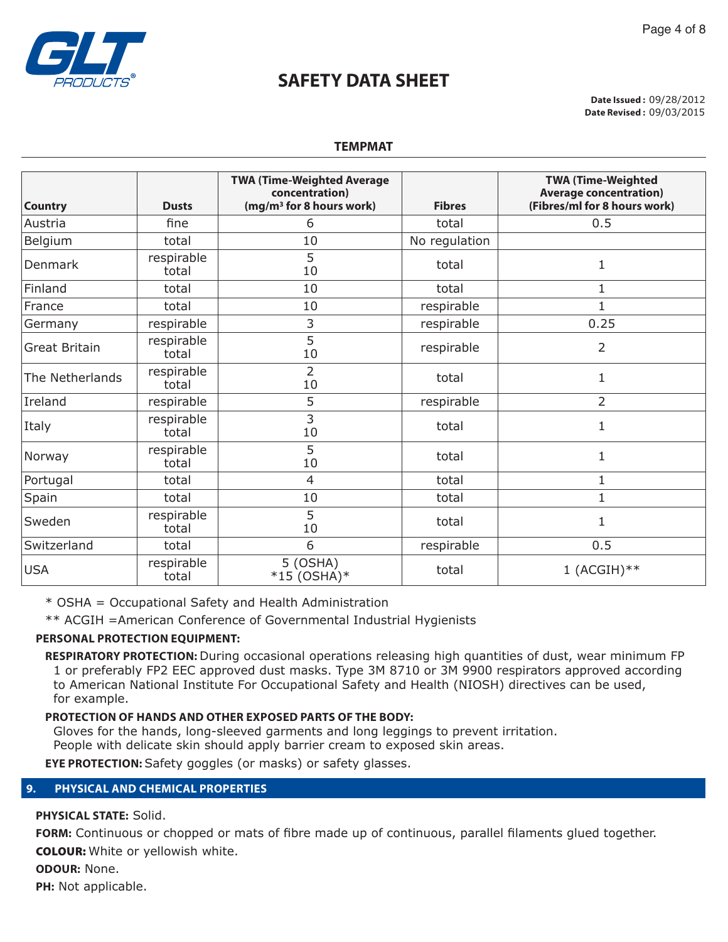

**Date Issued :** 09/28/2012 **Date Revised :** 09/03/2015

| <b>Country</b>       | <b>Dusts</b>        | <b>TWA (Time-Weighted Average)</b><br>concentration)<br>(mg/m <sup>3</sup> for 8 hours work) | <b>Fibres</b> | <b>TWA (Time-Weighted</b><br><b>Average concentration)</b><br>(Fibres/ml for 8 hours work) |
|----------------------|---------------------|----------------------------------------------------------------------------------------------|---------------|--------------------------------------------------------------------------------------------|
| Austria              | fine                | 6                                                                                            | total         | 0.5                                                                                        |
| Belgium              | total               | 10                                                                                           | No regulation |                                                                                            |
| Denmark              | respirable<br>total | 5<br>10                                                                                      | total         | $\mathbf 1$                                                                                |
| Finland              | total               | 10                                                                                           | total         | 1                                                                                          |
| France               | total               | 10                                                                                           | respirable    |                                                                                            |
| Germany              | respirable          | 3                                                                                            | respirable    | 0.25                                                                                       |
| <b>Great Britain</b> | respirable<br>total | 5<br>10                                                                                      | respirable    | 2                                                                                          |
| The Netherlands      | respirable<br>total | $\overline{2}$<br>10                                                                         | total         | $\mathbf 1$                                                                                |
| Ireland              | respirable          | 5                                                                                            | respirable    | 2                                                                                          |
| Italy                | respirable<br>total | 3<br>10                                                                                      | total         | $\mathbf 1$                                                                                |
| Norway               | respirable<br>total | 5<br>10                                                                                      | total         | $\mathbf 1$                                                                                |
| Portugal             | total               | $\overline{4}$                                                                               | total         | $\mathbf 1$                                                                                |
| Spain                | total               | 10                                                                                           | total         | 1                                                                                          |
| Sweden               | respirable<br>total | 5<br>10                                                                                      | total         | $\mathbf 1$                                                                                |
| Switzerland          | total               | 6                                                                                            | respirable    | 0.5                                                                                        |
| <b>USA</b>           | respirable<br>total | $5$ (OSHA)<br>$*15 (OSHA)*$                                                                  | total         | $1$ (ACGIH) **                                                                             |

\* OSHA = Occupational Safety and Health Administration

\*\* ACGIH =American Conference of Governmental Industrial Hygienists

# **PERSONAL PROTECTION EQUIPMENT:**

**RESPIRATORY PROTECTION:** During occasional operations releasing high quantities of dust, wear minimum FP 1 or preferably FP2 EEC approved dust masks. Type 3M 8710 or 3M 9900 respirators approved according to American National Institute For Occupational Safety and Health (NIOSH) directives can be used, for example.

# **PROTECTION OF HANDS AND OTHER EXPOSED PARTS OF THE BODY:**

Gloves for the hands, long-sleeved garments and long leggings to prevent irritation.

People with delicate skin should apply barrier cream to exposed skin areas.

**EYE PROTECTION:** Safety goggles (or masks) or safety glasses.

# **9. PHYSICAL AND CHEMICAL PROPERTIES**

**PHYSICAL STATE:** Solid.

**FORM:** Continuous or chopped or mats of fibre made up of continuous, parallel filaments glued together. COLOUR: White or yellowish white.

**ODOUR:** None.

**PH:** Not applicable.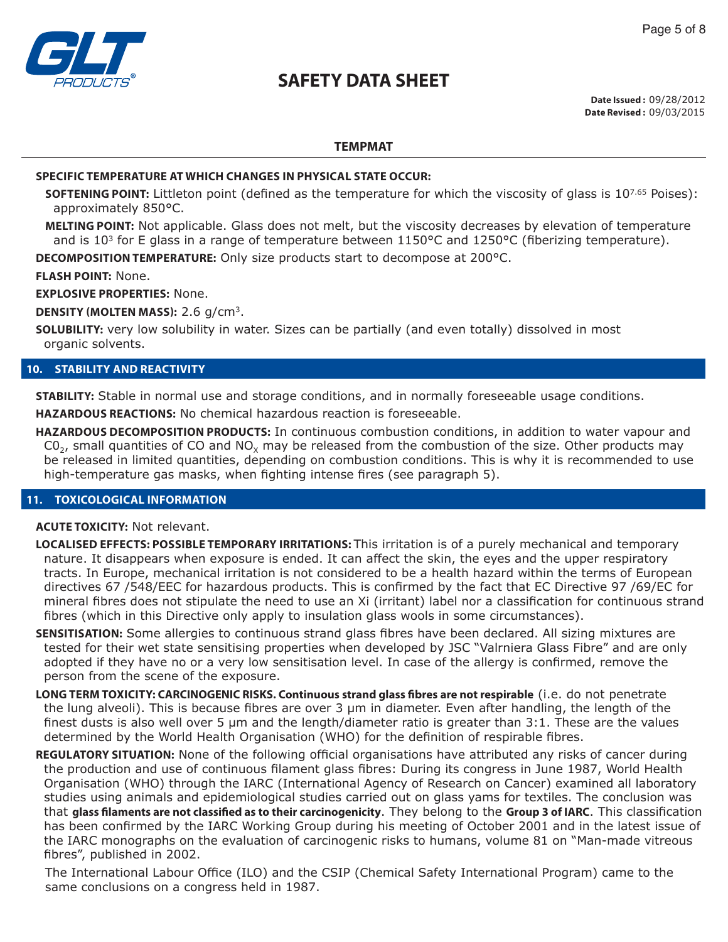

Page 5 of 8

# **TEMPMAT**

### **SPECIFIC TEMPERATURE AT WHICH CHANGES IN PHYSICAL STATE OCCUR:**

- **SOFTENING POINT:** Littleton point (defined as the temperature for which the viscosity of glass is 10<sup>7.65</sup> Poises): approximately 850°C.
- **MELTING POINT:** Not applicable. Glass does not melt, but the viscosity decreases by elevation of temperature and is 10<sup>3</sup> for E glass in a range of temperature between 1150°C and 1250°C (fiberizing temperature).

**DECOMPOSITION TEMPERATURE:** Only size products start to decompose at 200°C.

**FLASH POINT:** None.

**EXPLOSIVE PROPERTIES:** None.

**DENSITY (MOLTEN MASS):** 2.6 g/cm3.

**SOLUBILITY:** very low solubility in water. Sizes can be partially (and even totally) dissolved in most organic solvents.

### **10. STABILITY AND REACTIVITY**

**STABILITY:** Stable in normal use and storage conditions, and in normally foreseeable usage conditions.

**HAZARDOUS REACTIONS:** No chemical hazardous reaction is foreseeable.

**HAZARDOUS DECOMPOSITION PRODUCTS:** In continuous combustion conditions, in addition to water vapour and  $CO<sub>2</sub>$ , small quantities of CO and NO<sub>x</sub> may be released from the combustion of the size. Other products may be released in limited quantities, depending on combustion conditions. This is why it is recommended to use high-temperature gas masks, when fighting intense fires (see paragraph 5).

### **11. TOXICOLOGICAL INFORMATION**

### **ACUTE TOXICITY:** Not relevant.

- **LOCALISED EFFECTS: POSSIBLE TEMPORARY IRRITATIONS:** This irritation is of a purely mechanical and temporary nature. It disappears when exposure is ended. It can affect the skin, the eyes and the upper respiratory tracts. In Europe, mechanical irritation is not considered to be a health hazard within the terms of European directives 67 /548/EEC for hazardous products. This is confirmed by the fact that EC Directive 97 /69/EC for mineral fibres does not stipulate the need to use an Xi (irritant) label nor a classification for continuous strand fibres (which in this Directive only apply to insulation glass wools in some circumstances).
- **SENSITISATION:** Some allergies to continuous strand glass fibres have been declared. All sizing mixtures are tested for their wet state sensitising properties when developed by JSC "Valrniera Glass Fibre" and are only adopted if they have no or a very low sensitisation level. In case of the allergy is confirmed, remove the person from the scene of the exposure.
- **LONG TERM TOXICITY: CARCINOGENIC RISKS. Continuous strand glass fibres are not respirable** (i.e. do not penetrate the lung alveoli). This is because fibres are over 3 μm in diameter. Even after handling, the length of the finest dusts is also well over 5 μm and the length/diameter ratio is greater than 3:1. These are the values determined by the World Health Organisation (WHO) for the definition of respirable fibres.
- **REGULATORY SITUATION:** None of the following official organisations have attributed any risks of cancer during the production and use of continuous filament glass fibres: During its congress in June 1987, World Health Organisation (WHO) through the IARC (International Agency of Research on Cancer) examined all laboratory studies using animals and epidemiological studies carried out on glass yams for textiles. The conclusion was that **glass filaments are not classified as to their carcinogenicity**. They belong to the **Group 3 of IARC**. This classification has been confirmed by the IARC Working Group during his meeting of October 2001 and in the latest issue of the IARC monographs on the evaluation of carcinogenic risks to humans, volume 81 on "Man-made vitreous fibres", published in 2002.

The International Labour Office (ILO) and the CSIP (Chemical Safety International Program) came to the same conclusions on a congress held in 1987.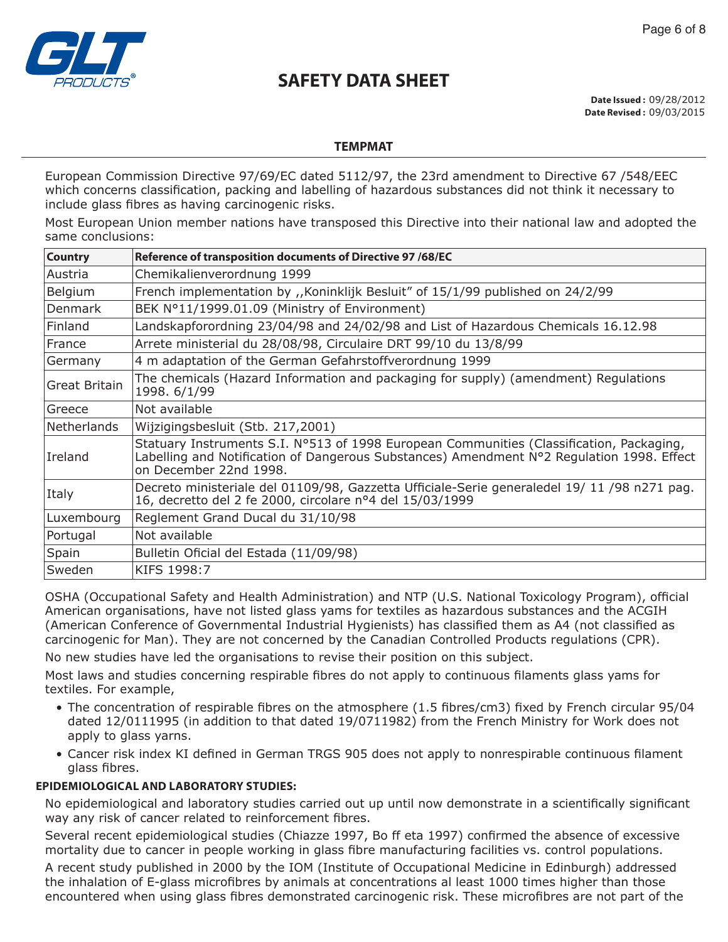

**Date Issued :** 09/28/2012 **Date Revised :** 09/03/2015

# **TEMPMAT**

European Commission Directive 97/69/EC dated 5112/97, the 23rd amendment to Directive 67 /548/EEC which concerns classification, packing and labelling of hazardous substances did not think it necessary to include glass fibres as having carcinogenic risks.

Most European Union member nations have transposed this Directive into their national law and adopted the same conclusions:

| <b>Country</b>     | Reference of transposition documents of Directive 97 /68/EC                                                                                                                                                     |
|--------------------|-----------------------------------------------------------------------------------------------------------------------------------------------------------------------------------------------------------------|
| Austria            | Chemikalienverordnung 1999                                                                                                                                                                                      |
| Belgium            | French implementation by ,, Koninklijk Besluit" of 15/1/99 published on 24/2/99                                                                                                                                 |
| <b>Denmark</b>     | BEK Nº11/1999.01.09 (Ministry of Environment)                                                                                                                                                                   |
| Finland            | Landskapforordning 23/04/98 and 24/02/98 and List of Hazardous Chemicals 16.12.98                                                                                                                               |
| France             | Arrete ministerial du 28/08/98, Circulaire DRT 99/10 du 13/8/99                                                                                                                                                 |
| Germany            | 4 m adaptation of the German Gefahrstoffverordnung 1999                                                                                                                                                         |
| Great Britain      | The chemicals (Hazard Information and packaging for supply) (amendment) Regulations<br>1998. 6/1/99                                                                                                             |
| Greece             | Not available                                                                                                                                                                                                   |
| <b>Netherlands</b> | Wijzigingsbesluit (Stb. 217,2001)                                                                                                                                                                               |
| Ireland            | Statuary Instruments S.I. Nº513 of 1998 European Communities (Classification, Packaging,<br>Labelling and Notification of Dangerous Substances) Amendment N°2 Regulation 1998. Effect<br>on December 22nd 1998. |
| Italy              | Decreto ministeriale del 01109/98, Gazzetta Ufficiale-Serie generaledel 19/11/98 n271 pag.<br>16, decretto del 2 fe 2000, circolare nº4 del 15/03/1999                                                          |
| Luxembourg         | Reglement Grand Ducal du 31/10/98                                                                                                                                                                               |
| Portugal           | Not available                                                                                                                                                                                                   |
| Spain              | Bulletin Oficial del Estada (11/09/98)                                                                                                                                                                          |
| Sweden             | KIFS 1998:7                                                                                                                                                                                                     |

OSHA (Occupational Safety and Health Administration) and NTP (U.S. National Toxicology Program), official American organisations, have not listed glass yams for textiles as hazardous substances and the ACGIH (American Conference of Governmental Industrial Hygienists) has classified them as A4 (not classified as carcinogenic for Man). They are not concerned by the Canadian Controlled Products regulations (CPR).

No new studies have led the organisations to revise their position on this subject.

Most laws and studies concerning respirable fibres do not apply to continuous filaments glass yams for textiles. For example,

- The concentration of respirable fibres on the atmosphere (1.5 fibres/cm3) fixed by French circular 95/04 dated 12/0111995 (in addition to that dated 19/0711982) from the French Ministry for Work does not apply to glass yarns.
- Cancer risk index KI defined in German TRGS 905 does not apply to nonrespirable continuous filament glass fibres.

# **EPIDEMIOLOGICAL AND LABORATORY STUDIES:**

No epidemiological and laboratory studies carried out up until now demonstrate in a scientifically significant way any risk of cancer related to reinforcement fibres.

Several recent epidemiological studies (Chiazze 1997, Bo ff eta 1997) confirmed the absence of excessive mortality due to cancer in people working in glass fibre manufacturing facilities vs. control populations.

A recent study published in 2000 by the IOM (Institute of Occupational Medicine in Edinburgh) addressed the inhalation of E-glass microfibres by animals at concentrations al least 1000 times higher than those encountered when using glass fibres demonstrated carcinogenic risk. These microfibres are not part of the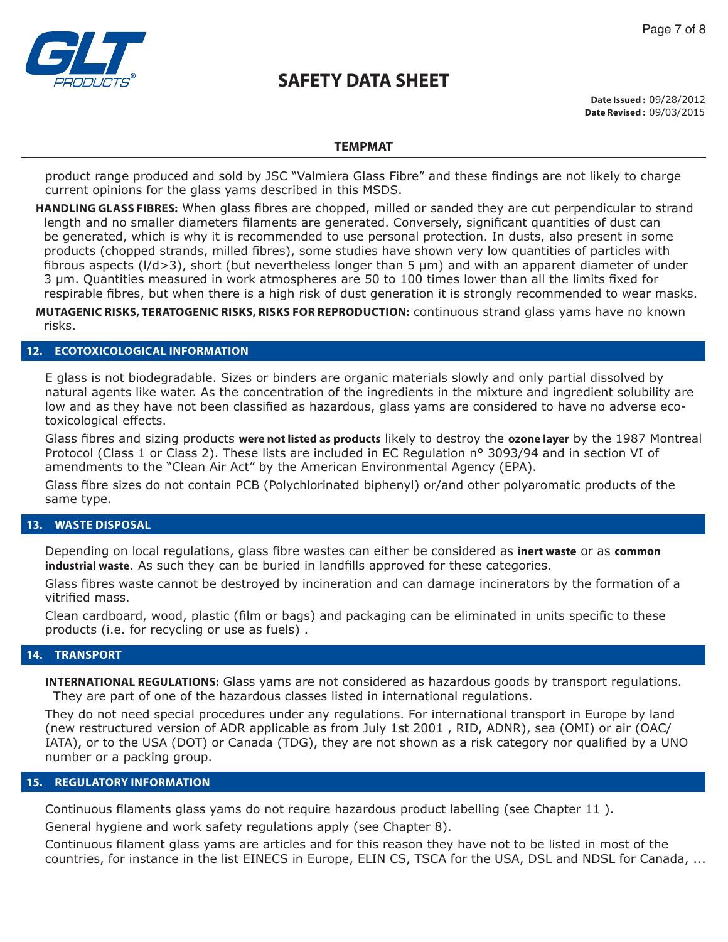

**Date Issued :** 09/28/2012 **Date Revised :** 09/03/2015

### **TEMPMAT**

product range produced and sold by JSC "Valmiera Glass Fibre" and these findings are not likely to charge current opinions for the glass yams described in this MSDS.

**HANDLING GLASS FIBRES:** When glass fibres are chopped, milled or sanded they are cut perpendicular to strand length and no smaller diameters filaments are generated. Conversely, significant quantities of dust can be generated, which is why it is recommended to use personal protection. In dusts, also present in some products (chopped strands, milled fibres), some studies have shown very low quantities of particles with fibrous aspects (l/d>3), short (but nevertheless longer than 5 μm) and with an apparent diameter of under 3 μm. Quantities measured in work atmospheres are 50 to 100 times lower than all the limits fixed for respirable fibres, but when there is a high risk of dust generation it is strongly recommended to wear masks.

**MUTAGENIC RISKS, TERATOGENIC RISKS, RISKS FOR REPRODUCTION:** continuous strand glass yams have no known risks.

### **12. ECOTOXICOLOGICAL INFORMATION**

E glass is not biodegradable. Sizes or binders are organic materials slowly and only partial dissolved by natural agents like water. As the concentration of the ingredients in the mixture and ingredient solubility are low and as they have not been classified as hazardous, glass yams are considered to have no adverse ecotoxicological effects.

Glass fibres and sizing products **were not listed as products** likely to destroy the **ozone layer** by the 1987 Montreal Protocol (Class 1 or Class 2). These lists are included in EC Regulation n° 3093/94 and in section VI of amendments to the "Clean Air Act" by the American Environmental Agency (EPA).

Glass fibre sizes do not contain PCB (Polychlorinated biphenyl) or/and other polyaromatic products of the same type.

### **13. WASTE DISPOSAL**

Depending on local regulations, glass fibre wastes can either be considered as **inert waste** or as **common industrial waste**. As such they can be buried in landfills approved for these categories.

Glass fibres waste cannot be destroyed by incineration and can damage incinerators by the formation of a vitrified mass.

Clean cardboard, wood, plastic (film or bags) and packaging can be eliminated in units specific to these products (i.e. for recycling or use as fuels) .

### **14. TRANSPORT**

**INTERNATIONAL REGULATIONS:** Glass yams are not considered as hazardous goods by transport regulations. They are part of one of the hazardous classes listed in international regulations.

They do not need special procedures under any regulations. For international transport in Europe by land (new restructured version of ADR applicable as from July 1st 2001 , RID, ADNR), sea (OMI) or air (OAC/ IATA), or to the USA (DOT) or Canada (TDG), they are not shown as a risk category nor qualified by a UNO number or a packing group.

### **15. REGULATORY INFORMATION**

Continuous filaments glass yams do not require hazardous product labelling (see Chapter 11 ).

General hygiene and work safety regulations apply (see Chapter 8).

Continuous filament glass yams are articles and for this reason they have not to be listed in most of the countries, for instance in the list EINECS in Europe, ELIN CS, TSCA for the USA, DSL and NDSL for Canada, ...